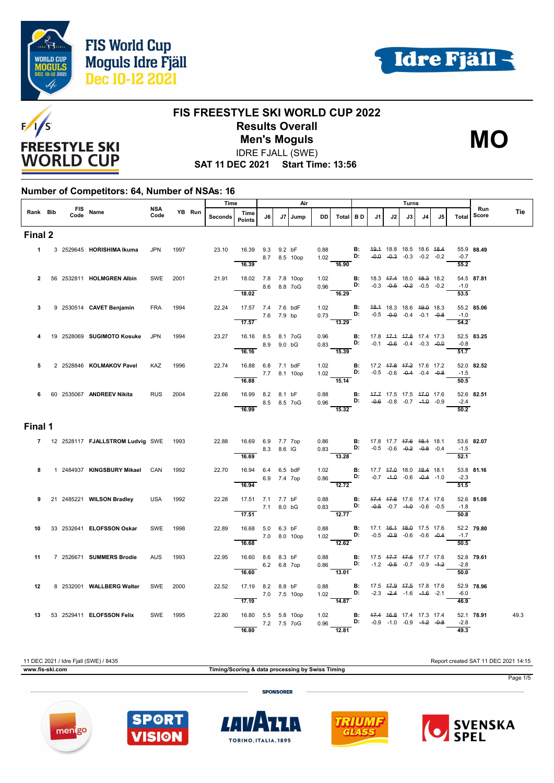





#### **FIS FREESTYLE SKI WORLD CUP 2022 Results Overall** IDRE FJALL (SWE) **Men's Moguls MO**



**SAT 11 DEC 2021 Start Time: 13:56**

#### **Number of Competitors: 64, Number of NSAs: 16**

|          |      |                                         |                    |      |        | Time    |                                          |             | Air          |           |                                                                                                                  |                                    |                                                |    | Turns                              |    |                                    |                             |              |      |
|----------|------|-----------------------------------------|--------------------|------|--------|---------|------------------------------------------|-------------|--------------|-----------|------------------------------------------------------------------------------------------------------------------|------------------------------------|------------------------------------------------|----|------------------------------------|----|------------------------------------|-----------------------------|--------------|------|
| Rank Bib | Code | FIS Name                                | <b>NSA</b><br>Code |      | YB Run | Seconds | Time<br><b>Points</b>                    | J6          | J7   Jump    | <b>DD</b> | Total BD                                                                                                         |                                    | J1.                                            | J2 | J3                                 | J4 | J5                                 | Total                       | Run<br>Score | Tie  |
| Final 2  |      |                                         |                    |      |        |         |                                          |             |              |           |                                                                                                                  |                                    |                                                |    |                                    |    |                                    |                             |              |      |
|          |      | 1 3 2529645 HORISHIMA Ikuma             | <b>JPN</b>         | 1997 |        | 23.10   | 16.39 9.3 9.2 bF                         |             | 8.7 8.5 10op |           | 0.88 <b>B:</b> $49.4$ 18.8 18.5 18.6 $48.4$<br>1.02 <b>B:</b> $-9.9$ $-9.3$ $-0.3$ $-0.2$ $-0.2$<br><b>16.90</b> |                                    |                                                |    |                                    |    | $-0.0$ $-0.3$ $-0.3$ $-0.2$ $-0.2$ | $-0.7$                      | 55.9 88.49   |      |
|          |      |                                         |                    |      |        |         | 16.39                                    |             |              |           |                                                                                                                  |                                    |                                                |    |                                    |    |                                    | 55.2                        |              |      |
|          |      | 2 56 2532811 HOLMGREN Albin             | SWE                | 2001 |        | 21.91   | 18.02 7.8 7.8 10op<br>$- 8.6 8.8 70G$    |             |              |           | 1.02 <b>B:</b> 18.3 47.4 18.0 48.3 18.2<br>0.96 <b>D:</b> -0.3 -0. <del>5</del> -0.2 -0.5 -0.2                   |                                    |                                                |    |                                    |    |                                    | $-1.0$                      | 54.5 87.81   |      |
|          |      |                                         |                    |      |        |         | 18.02                                    |             |              |           | $\frac{1}{16.29}$                                                                                                |                                    |                                                |    |                                    |    |                                    | 53.5                        |              |      |
| 3        |      | 9 2530514 CAVET Benjamin                | <b>FRA</b>         | 1994 |        | 22.24   | 17.57 7.4 7.6 bdF<br>7.6 7.9 bp<br>17.57 |             |              |           | 1.02 <b>B:</b> 48.4 18.3 18.6 49.0 18.3<br>0.73 <b>D:</b> -0.5 -0.0 -0.4 -0.1 -0.8<br>$\overline{13.29}$         |                                    |                                                |    | $-0.5$ $-0.0$ $-0.4$ $-0.1$ $-0.8$ |    |                                    | $-1.0$<br>$\overline{54.2}$ | 55.2 85.06   |      |
| 4        |      | 19 2528069 SUGIMOTO Kosuke              | <b>JPN</b>         | 1994 |        | 23.27   | 16.16 8.5 8.1 7oG                        |             |              |           |                                                                                                                  |                                    |                                                |    |                                    |    |                                    |                             | 52.5 83.25   |      |
|          |      |                                         |                    |      |        |         | 8.9 9.0 bG<br>16.16                      |             |              |           | 0.96 <b>B:</b> 17.8 <del>17.1 17.8</del> 17.4 17.3<br>0.83 <b>D:</b> -0.1 -0.6 -0.4 -0.3 -0.0<br>$-15.39$        |                                    |                                                |    |                                    |    |                                    | $-0.8$<br>51.7              |              |      |
| 5        |      | 2 2528846 KOLMAKOV Pavel                | KAZ                | 1996 |        | 22.74   | 16.88  6.8  7.1  bdF                     |             |              | 1.02      |                                                                                                                  | <b>B:</b> 17.2 47.8 47.2 17.6 17.2 |                                                |    |                                    |    |                                    |                             | 52.0 82.52   |      |
|          |      |                                         |                    |      |        |         | 16.88                                    |             | 7.7 8.1 10op |           | 1.02 <b>D:</b> $-0.5$ $-0.6$ $-0.4$ $-0.4$ $-0.8$<br>15.14                                                       |                                    |                                                |    |                                    |    |                                    | $-1.5$<br>50.5              |              |      |
|          |      | 6 60 2535067 ANDREEV Nikita             | <b>RUS</b>         | 2004 |        | 22.66   | 16.99 8.2 8.1 bF<br>$8.5$ 8.5 7 oG       |             |              |           | 0.88 <b>B:</b> 47.7 17.5 17.5 47.0 17.6<br>0.96 <b>D:</b> -0.6 -0.8 -0.7 -4.0 -0.9                               |                                    |                                                |    |                                    |    |                                    | $-2.4$                      | 52.6 82.51   |      |
|          |      |                                         |                    |      |        |         | 16.99                                    |             |              |           | $\overline{15.32}$                                                                                               |                                    |                                                |    |                                    |    |                                    | $\overline{50.2}$           |              |      |
| Final 1  |      |                                         |                    |      |        |         |                                          |             |              |           |                                                                                                                  |                                    |                                                |    |                                    |    |                                    |                             |              |      |
|          |      | 7 12 2528117 FJALLSTROM Ludvig SWE 1993 |                    |      |        | 22.88   | 16.69 6.9 7.7 7op<br>8.3 8.6 IG          |             |              |           | 0.86 <b>B:</b> 17.8 17.7 <del>17.6</del> 18.1 18.1 0.83 <b>D:</b> -0.5 -0.6 -0.2 -0.8 -0.4                       |                                    |                                                |    |                                    |    |                                    | $-1.5$                      | 53.6 82.07   |      |
|          |      |                                         |                    |      |        |         | 16.69                                    |             |              |           | $\overline{13.28}$                                                                                               |                                    |                                                |    |                                    |    |                                    | 52.1                        |              |      |
| 8        |      | 1 2484937 KINGSBURY Mikael              | CAN                | 1992 |        | 22.70   | 16.94  6.4  6.5  bdF                     | 6.9 7.4 7op |              |           | 1.02 <b>B:</b><br>0.86 <b>D:</b> $-0.7$ $-4.0$ $-0.6$ $-0.4$ $-1.0$                                              |                                    | 17.7 <del>17.0</del> 18.0 <del>18.4</del> 18.1 |    |                                    |    |                                    | $-2.3$                      | 53.8 81.16   |      |
|          |      |                                         | <b>USA</b> 1992    |      |        | 22.28   | 16.94<br>17.51 7.1 7.7 bF                |             |              |           | $\frac{1}{12.72}$                                                                                                |                                    |                                                |    |                                    |    |                                    | $\overline{51.5}$           | 52.6 81.08   |      |
|          |      | 9 21 2485221 WILSON Bradley             |                    |      |        |         | 7.1 8.0 bG<br>$\overline{17.51}$         |             |              |           | 0.88 <b>B:</b> $47.4$ $47.6$ 17.6 17.4 17.6<br>0.83 <b>D:</b> $-0.5$ -0.7 $-1.0$ -0.6 -0.5<br>$\overline{12.77}$ |                                    |                                                |    |                                    |    |                                    | $-1.8$<br>50.8              |              |      |
| 10       |      | 33 2532641 ELOFSSON Oskar               | SWE                | 1998 |        | 22.89   | 16.68 5.0 6.3 bF                         |             |              |           | 0.88 <b>B:</b> 17.1 46.4 48.0 17.5 17.6                                                                          |                                    |                                                |    |                                    |    |                                    |                             | 52.2 79.80   |      |
|          |      |                                         |                    |      |        |         | 7.0 8.0 10op<br>16.68                    |             |              |           | $1.02$ D:<br>$\overline{12.62}$                                                                                  |                                    |                                                |    | $-0.5$ $-0.9$ $-0.6$ $-0.6$ $-0.4$ |    |                                    | $-1.7$<br>50.5              |              |      |
| 11       |      | 7 2526671 SUMMERS Brodie                | <b>AUS</b>         | 1993 |        | 22.95   | 16.60 8.6 8.3 bF                         |             |              |           | 0.88 <b>B:</b> 17.5 47.7 47.5 17.7 17.6<br>0.86 <b>D:</b> $-1.2$ $-0.5$ $-0.7$ $-0.9$ $-1.2$                     |                                    |                                                |    |                                    |    |                                    | $-2.8$                      | 52.8 79.61   |      |
|          |      |                                         |                    |      |        |         | 16.60                                    | 6.2 6.8 7op |              |           | 13.01                                                                                                            |                                    |                                                |    |                                    |    |                                    | 50.0                        |              |      |
| 12       |      | 8 2532001 WALLBERG Walter               | SWE 2000           |      |        | 22.52   | 17.19 8.2 8.8 bF<br>7.0 7.5 10op         |             |              |           | 0.88 <b>B:</b> 17.5 <del>17.9 17.5</del> 17.8 17.6<br>1.02 <b>D:</b> -2.3 -2.4 -1.6 -1.6 -2.1                    |                                    |                                                |    |                                    |    |                                    | $-6.0$                      | 52.9 78.96   |      |
|          |      |                                         |                    |      |        |         | 17.19                                    |             |              |           | $\overline{14.87}$                                                                                               |                                    |                                                |    |                                    |    |                                    | 46.9                        |              |      |
|          |      | 13 53 2529411 ELOFSSON Felix            | SWE 1995           |      |        | 22.80   | 16.80 5.5 5.8 10op<br>7.2 7.5 7 o G      |             |              |           | 1.02 <b>B:</b> 47.4 46.8 17.4 17.3 17.4<br>0.96 <b>D:</b> -0.9 -1.0 -0.9 -4 <del>.2</del> -0.8                   |                                    |                                                |    |                                    |    |                                    | $-2.8$                      | 52.1 78.91   | 49.3 |
|          |      |                                         |                    |      |        |         | 16.80                                    |             |              |           | 12.81                                                                                                            |                                    |                                                |    |                                    |    |                                    | 49.3                        |              |      |

11 DEC 2021 / Idre Fjall (SWE) / 8435 Report created SAT 11 DEC 2021 14:15 **www.fis-ski.com Timing/Scoring & data processing by Swiss Timing** Page 1/5 **SPONSORER** 









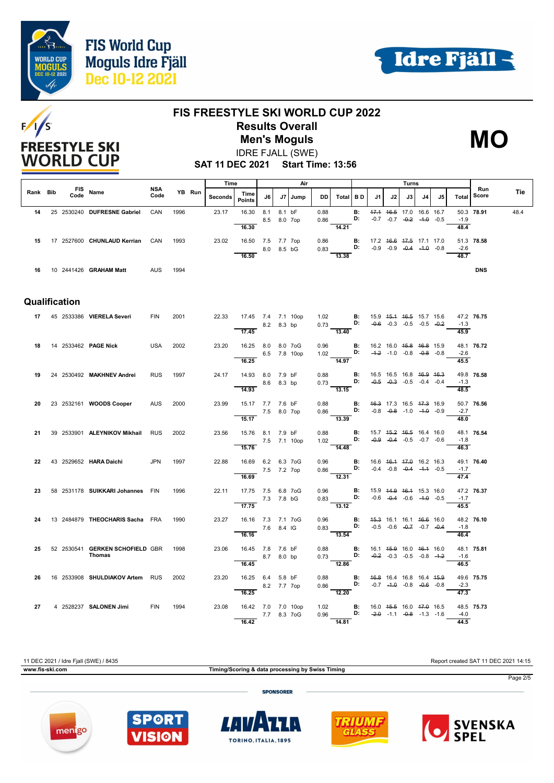





## **FIS FREESTYLE SKI WORLD CUP 2022 Results Overall Men's Moguls MO**

IDRE FJALL (SWE)



**SAT 11 DEC 2021 Start Time: 13:56**

|          |               |                                  |                    |      |        | Time    |                                |             |        | Air     |              |                                                                                                                |           |                                                |    | Turns                                                          |    |    |                   |                           |      |
|----------|---------------|----------------------------------|--------------------|------|--------|---------|--------------------------------|-------------|--------|---------|--------------|----------------------------------------------------------------------------------------------------------------|-----------|------------------------------------------------|----|----------------------------------------------------------------|----|----|-------------------|---------------------------|------|
| Rank Bib | Code          | FIS Name                         | <b>NSA</b><br>Code |      | YB Run | Seconds | Time<br><b>Points</b>          | J6          |        | J7 Jump | DD.          | Total BD                                                                                                       |           | J1                                             | J2 | J3                                                             | J4 | J5 |                   | Run<br><b>Total Score</b> | Tie  |
| 14       |               | 25 2530240 DUFRESNE Gabriel      | CAN                | 1996 |        | 23.17   | 16.30                          | 8.1         | 8.1 bF |         | 0.88         |                                                                                                                | <b>B:</b> |                                                |    | 47.4 46.5 17.0 16.6 16.7                                       |    |    |                   | 50.3 78.91                | 48.4 |
|          |               |                                  |                    |      |        |         | 16.30                          | 8.5 8.0 7op |        |         | 0.86         | 14.21                                                                                                          | D:        |                                                |    | $-0.7$ $-0.7$ $-0.2$ $-4.0$ $-0.5$                             |    |    | $-1.9$<br>48.4    |                           |      |
|          |               |                                  |                    |      |        |         |                                |             |        |         |              |                                                                                                                |           |                                                |    |                                                                |    |    |                   |                           |      |
| 15       |               | 17 2527600 CHUNLAUD Kerrian CAN  |                    | 1993 |        | 23.02   | 16.50 7.5 7.7 7op              |             |        |         | 0.86         | D:                                                                                                             |           | <b>B:</b> 17.2 46.6 47.5 17.1 17.0             |    | $-0.9$ $-0.9$ $-0.4$ $-1.0$ $-0.8$                             |    |    | $-2.6$            | 51.3 78.58                |      |
|          |               |                                  |                    |      |        |         | 16.50                          | 8.0 8.5 bG  |        |         | 0.83         | 13.38                                                                                                          |           |                                                |    |                                                                |    |    | 48.7              |                           |      |
|          |               |                                  |                    |      |        |         |                                |             |        |         |              |                                                                                                                |           |                                                |    |                                                                |    |    |                   |                           |      |
|          |               | 16 10 2441426 GRAHAM Matt        | <b>AUS</b>         | 1994 |        |         |                                |             |        |         |              |                                                                                                                |           |                                                |    |                                                                |    |    |                   | <b>DNS</b>                |      |
|          |               |                                  |                    |      |        |         |                                |             |        |         |              |                                                                                                                |           |                                                |    |                                                                |    |    |                   |                           |      |
|          |               |                                  |                    |      |        |         |                                |             |        |         |              |                                                                                                                |           |                                                |    |                                                                |    |    |                   |                           |      |
|          | Qualification |                                  |                    |      |        |         |                                |             |        |         |              |                                                                                                                |           |                                                |    |                                                                |    |    |                   |                           |      |
|          |               | 17 45 2533386 VIERELA Severi     | <b>FIN</b>         | 2001 |        | 22.33   | 17.45 7.4 7.1 10op             |             |        |         |              | 1.02 <b>B</b> : 15.9 4 <del>5.1</del> 46.5 15.7 15.6<br>0.73 <b>D:</b> -0.6 -0.3 -0.5 -0.5 -0. <del>2</del>    |           |                                                |    |                                                                |    |    |                   | 47.2 76.75                |      |
|          |               |                                  |                    |      |        |         | 17.45                          | 8.2 8.3 bp  |        |         |              | 13.40                                                                                                          |           |                                                |    |                                                                |    |    | $-1.3$<br>45.9    |                           |      |
|          |               |                                  |                    |      |        |         |                                |             |        |         |              |                                                                                                                |           |                                                |    |                                                                |    |    |                   |                           |      |
| 18       |               | 14 2533462 PAGE Nick             | USA                | 2002 |        | 23.20   | 16.25 8.0 8.0 7oG              |             |        |         | 0.96         | $1.02$ D: $-4.2$ -1.0 -0.8 -0.8 -0.8                                                                           |           | <b>B:</b> 16.2 16.0 <del>15.8 16.8</del> 15.9  |    |                                                                |    |    | $-2.6$            | 48.1 76.72                |      |
|          |               |                                  |                    |      |        |         | 6.5 7.8 10op<br>16.25          |             |        |         |              | $\frac{1}{14.97}$                                                                                              |           |                                                |    |                                                                |    |    | 45.5              |                           |      |
| 19       |               | 24 2530492 MAKHNEV Andrei        | <b>RUS</b>         | 1997 |        | 24.17   | 14.93 8.0 7.9 bF               |             |        |         | 0.88         |                                                                                                                | <b>B:</b> |                                                |    | 16.5 16.5 16.8 <del>16.9 16.3</del>                            |    |    |                   | 49.8 76.58                |      |
|          |               |                                  |                    |      |        |         |                                | 8.6 8.3 bp  |        |         |              | $0.73$ D:                                                                                                      |           |                                                |    | $-0.5$ $-0.3$ $-0.5$ $-0.4$ $-0.4$                             |    |    | $-1.3$            |                           |      |
|          |               |                                  |                    |      |        |         | 14.93                          |             |        |         |              | $\frac{3.15}{13.15}$                                                                                           |           |                                                |    |                                                                |    |    | 48.5              |                           |      |
| 20       |               | 23 2532161 WOODS Cooper          | <b>AUS</b>         | 2000 |        | 23.99   | 15.17 7.7 7.6 bF               |             |        |         | 0.88         |                                                                                                                |           | <b>B:</b> 46.3 17.3 16.5 47.3 16.9             |    |                                                                |    |    |                   | 50.7 76.56                |      |
|          |               |                                  |                    |      |        |         | 7.5 8.0 7op                    |             |        |         |              | 0.88 <b>B:</b> $46.3$ 17.3 16.5 $47.3$ 16.9<br>0.86 <b>D:</b> $-0.8$ $-0.8$ $-1.0$ $-1.0$ $-0.9$               |           |                                                |    |                                                                |    |    | $-2.7$            |                           |      |
|          |               |                                  |                    |      |        |         | 15.17                          |             |        |         |              | $\frac{1}{13.39}$                                                                                              |           |                                                |    |                                                                |    |    | 48.0              |                           |      |
| 21       |               | 39 2533901 ALEYNIKOV Mikhail RUS |                    | 2002 |        | 23.56   | 15.76 8.1 7.9 bF               |             |        |         | 0.88         |                                                                                                                | <b>B:</b> |                                                |    | 15.7 45.2 46.5 16.4 16.0                                       |    |    |                   | 48.1 76.54                |      |
|          |               |                                  |                    |      |        |         | 7.5 7.1 10op<br>15.76          |             |        |         | 1.02         | $\overline{D}$ :<br>14.48                                                                                      |           |                                                |    | $-0.9$ $-0.4$ $-0.5$ $-0.7$ $-0.6$                             |    |    | $-1.8$<br>46.3    |                           |      |
|          |               |                                  |                    |      |        |         |                                |             |        |         |              |                                                                                                                |           |                                                |    |                                                                |    |    |                   |                           |      |
| 22       |               | 43 2529652 HARA Daichi           | <b>JPN</b>         | 1997 |        | 22.88   | 16.69 6.2 6.3 7oG              |             |        |         | 0.96         | $0.86$ D: $-0.4$ $-0.8$ $-0.4$ $-1.4$ $-0.5$                                                                   | B:        |                                                |    | 16.6 46.4 47.0 16.2 16.3                                       |    |    | $-1.7$            | 49.1 76.40                |      |
|          |               |                                  |                    |      |        |         | 7.5 7.2 7op<br>16.69           |             |        |         |              | $\frac{1}{12.31}$                                                                                              |           |                                                |    |                                                                |    |    | 47.4              |                           |      |
| 23       |               | 58 2531178 SUIKKARI Johannes FIN |                    | 1996 |        | 22.11   | 17.75 7.5 6.8 7oG              |             |        |         | 0.96         |                                                                                                                |           | <b>B:</b> 15.9 44.9 46.4 15.3 16.0             |    |                                                                |    |    |                   | 47.2 76.37                |      |
|          |               |                                  |                    |      |        |         |                                | 7.3 7.8 bG  |        |         |              | $0.83$ D:                                                                                                      |           |                                                |    | $-0.6$ $-0.4$ $-0.6$ $-4.0$ $-0.5$                             |    |    | $-1.7$            |                           |      |
|          |               |                                  |                    |      |        |         | 17.75                          |             |        |         |              | $\overline{13.12}$                                                                                             |           |                                                |    |                                                                |    |    | $\overline{45.5}$ |                           |      |
| 24       |               | 13 2484879 THEOCHARIS Sacha FRA  |                    | 1990 |        | 23.27   | 16.16 7.3 7.1 7oG              |             |        |         |              | 0.96 <b>B:</b> $\frac{45.3}{0.6}$ 16.1 16.1 $\frac{46.6}{0.6}$ 16.0<br>0.83 <b>D:</b> -0.5 -0.6 -0.7 -0.7 -0.4 |           |                                                |    |                                                                |    |    |                   | 48.2 76.10                |      |
|          |               |                                  |                    |      |        |         | $\frac{7.6}{16.16}$ 7.6 8.4 IG |             |        |         | 0.83         |                                                                                                                |           |                                                |    |                                                                |    |    | $-1.8$            |                           |      |
|          |               |                                  |                    |      |        |         |                                |             |        |         |              | $\overline{13.54}$                                                                                             |           |                                                |    |                                                                |    |    | 46.4              |                           |      |
| 25       |               | 52 2530541 GERKEN SCHOFIELD GBR  |                    | 1998 |        | 23.06   | 16.45 7.8 7.6 bF               |             |        |         |              | 0.88 <b>B</b> : 16.1 45.9 16.0 46.4 16.0<br>0.73 <b>D:</b> $-0.2$ -0.3 -0.5 -0.8 -4.2                          |           |                                                |    |                                                                |    |    |                   | 48.1 75.81                |      |
|          |               | <b>Thomas</b>                    |                    |      |        |         | 16.45                          | 8.7 8.0 bp  |        |         |              | 12.86                                                                                                          |           |                                                |    |                                                                |    |    | $-1.6$<br>46.5    |                           |      |
|          |               |                                  |                    |      |        |         |                                |             |        |         |              |                                                                                                                |           |                                                |    |                                                                |    |    |                   |                           |      |
| 26       |               | 16 2533908 SHULDIAKOV Artem RUS  |                    | 2002 |        | 23.20   | 16.25 6.4 5.8 bF               | 8.2 7.7 7op |        |         | 0.88<br>0.86 | $\overline{D}$ :                                                                                               | B:        |                                                |    | 46.8 16.4 16.8 16.4 45.9<br>$-0.7$ $-4.0$ $-0.8$ $-0.6$ $-0.8$ |    |    | $-2.3$            | 49.6 75.75                |      |
|          |               |                                  |                    |      |        |         | 16.25                          |             |        |         |              | $\frac{1}{2.20}$                                                                                               |           |                                                |    |                                                                |    |    | 47.3              |                           |      |
| 27       |               | 4 2528237 SALONEN Jimi           | <b>FIN</b>         | 1994 |        | 23.08   | 16.42 7.0 7.0 10op             |             |        |         | 1.02         |                                                                                                                |           | <b>B:</b> 16.0 4 <del>5.5</del> 16.0 47.0 16.5 |    |                                                                |    |    |                   | 48.5 75.73                |      |
|          |               |                                  |                    |      |        |         | 7.7 8.3 7 o G                  |             |        |         |              | $0.96$ D: $-2.0$ -1.1 $-0.8$ -1.3 -1.6                                                                         |           |                                                |    |                                                                |    |    | $-4.0$            |                           |      |
|          |               |                                  |                    |      |        |         | 16.42                          |             |        |         |              | $\frac{1}{14.81}$                                                                                              |           |                                                |    |                                                                |    |    | 44.5              |                           |      |

11 DEC 2021 / Idre Fjall (SWE) / 8435 Report created SAT 11 DEC 2021 14:15

**www.fis-ski.com Timing/Scoring & data processing by Swiss Timing**

Page 2/5

**SPONSORER** 









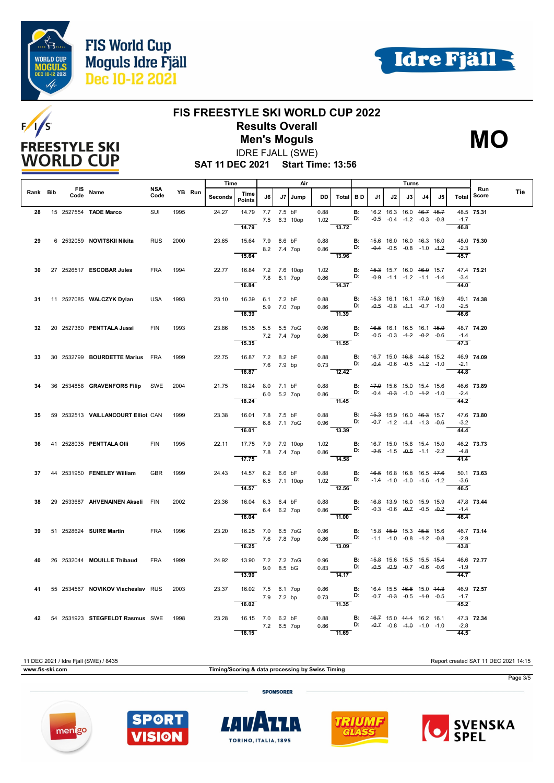





# **FIS FREESTYLE SKI WORLD CUP 2022 Results Overall**

IDRE FJALL (SWE) **Men's Moguls MO**



**SAT 11 DEC 2021 Start Time: 13:56**

|          |      |                                         |                    |      |        | Time    |                                                       |             |             | Air          |      |                                                                                                                                           |                 |                                                |                                                                | Turns |    |                                    |                             |              |     |
|----------|------|-----------------------------------------|--------------------|------|--------|---------|-------------------------------------------------------|-------------|-------------|--------------|------|-------------------------------------------------------------------------------------------------------------------------------------------|-----------------|------------------------------------------------|----------------------------------------------------------------|-------|----|------------------------------------|-----------------------------|--------------|-----|
| Rank Bib | Code | FIS Name                                | <b>NSA</b><br>Code |      | YB Run | Seconds | Time<br><b>Points</b>                                 | J6          |             | J7   Jump    | DD I | Total BD                                                                                                                                  |                 | J1                                             | J2                                                             | J3 I  | J4 | J5                                 | Total                       | Run<br>Score | Tie |
| 28       |      | 15 2527554 TADE Marco                   | SUI                | 1995 |        | 24.27   | 14.79<br>14.79                                        | 7.7 7.5 bF  |             | 7.5 6.3 10op | 0.88 | 1.02<br>13.72                                                                                                                             | <b>B:</b><br>D: |                                                | 16.2 16.3 16.0 46.7 45.7<br>$-0.5$ $-0.4$ $-4.2$ $-0.3$ $-0.8$ |       |    |                                    | $-1.7$<br>46.8              | 48.5 75.31   |     |
| 29       |      | 6 2532059 NOVITSKII Nikita              | <b>RUS</b>         | 2000 |        | 23.65   | 15.64 7.9 8.6 bF                                      |             | 8.2 7.4 7op |              |      | 0.88 <b>B:</b> 45.6 16.0 16.0 46.3 16.0<br>$0.86$ D: $-0.4$ $-0.5$ $-0.8$ $-1.0$ $-1.2$                                                   |                 |                                                |                                                                |       |    |                                    | $-2.3$                      | 48.0 75.30   |     |
|          |      | 30 27 2526517 ESCOBAR Jules             | <b>FRA</b>         | 1994 |        | 22.77   | 15.64<br>16.84 7.2 7.6 10op                           | 7.8 8.1 7op |             |              |      | $\frac{1}{13.96}$<br>1.02 <b>B</b> : $45.3$ 15.7 16.0 46.0 15.7<br>0.86 <b>D:</b> $-0.9$ -1.1 -1.2                                        |                 |                                                |                                                                |       |    |                                    | 45.7<br>$-3.4$              | 47.4 75.21   |     |
| 31       |      | 11 2527085 WALCZYK Dylan                | <b>USA</b>         | 1993 |        | 23.10   | 16.84<br>16.39 6.1 7.2 bF                             |             |             |              | 0.88 | $\overline{14.37}$<br>$0.86$ D: $-0.5$ $-0.8$ $-1.4$ $-0.7$ $-1.0$                                                                        |                 | <b>B:</b> 4 <del>5.3</del> 16.1 16.1 47.0 16.9 |                                                                |       |    |                                    | 44.0                        | 49.1 74.38   |     |
|          |      | 32 20 2527360 PENTTALA Jussi            | <b>FIN</b>         | 1993 |        | 23.86   | 16.39<br>15.35  5.5  5.5  7oG                         |             | 5.9 7.0 7op |              | 0.96 | $\frac{1}{11.39}$                                                                                                                         |                 | <b>B:</b> 46.5 16.1 16.5 16.1 45.9             |                                                                |       |    |                                    | $-2.5$<br>$\frac{1}{46.6}$  | 48.7 74.20   |     |
|          |      |                                         |                    |      |        |         | 15.35                                                 | 7.2 7.4 7op |             |              |      | 0.86 <b>D:</b> $-0.5$ $-0.3$ $-4.2$ $-0.2$ $-0.6$<br>$-11.55$                                                                             |                 |                                                |                                                                |       |    |                                    | $-1.4$<br>$\overline{47.3}$ |              |     |
| 33       |      | 30 2532799 BOURDETTE Marius FRA         |                    | 1999 |        | 22.75   | 16.87 7.2 8.2 bF<br>7.6 7.9 bp<br>16.87               |             |             |              |      | 0.88 <b>B</b> : 16.7 15.0 4 <del>6.8</del> 44.8 15.2<br>0.73 <b>D:</b> -0.4 -0.6 -0.5 -4.2 -1.0<br>$\overline{12.42}$                     |                 |                                                |                                                                |       |    |                                    | $-2.1$<br>44.8              | 46.9 74.09   |     |
| 34       |      | 36 2534858 GRAVENFORS Filip SWE         |                    | 2004 |        | 21.75   | 18.24 8.0 7.1 bF<br>6.0 5.2 7op                       |             |             |              |      | 0.88 <b>B</b> : 47.0 15.6 45.0 15.4 15.6 0.86 <b>D</b> : -0.4 -0.3 -1.0 -4.2 -1.0<br>$\overline{11.45}$                                   |                 |                                                |                                                                |       |    |                                    | $-2.4$                      | 46.6 73.89   |     |
| 35.      |      | 59 2532513 VAILLANCOURT Elliot CAN 1999 |                    |      |        | 23.38   | 18.24<br>16.01 7.8 7.5 bF                             |             |             | 6.8 7.1 7oG  |      | 0.88 <b>B</b> : 45.3 15.9 16.0 46.3 15.7<br>0.96 <b>D:</b> -0.7 -1.2 -1.4 1.3 0.0                                                         |                 |                                                |                                                                |       |    |                                    | 44.2<br>$-3.2$              | 47.6 73.80   |     |
| 36.      |      | 41 2528035 <b>PENTTALA OIII</b>         | <b>FIN</b>         | 1995 |        | 22.11   | 16.01<br>17.75 7.9 7.9 10op                           |             |             |              | 1.02 | $\overline{13.39}$                                                                                                                        |                 | <b>B:</b> 46.7 15.0 15.8 15.4 45.0             |                                                                |       |    |                                    | 44.4                        | 46.2 73.73   |     |
|          |      | 37 44 2531950 FENELEY William           |                    | 1999 |        | 24.43   | 7.8 7.4 7op<br>$\overline{17.75}$<br>14.57 6.2 6.6 bF |             |             |              |      | 0.86<br>$\overline{14.58}$                                                                                                                |                 | <b>D:</b> $-2.5$ $-1.5$ $-0.6$ $-1.1$ $-2.2$   |                                                                |       |    |                                    | $-4.8$<br>$\frac{41.4}{9}$  | 50.1 73.63   |     |
|          |      |                                         | <b>GBR</b>         |      |        |         | 14.57                                                 |             |             | 6.5 7.1 10op |      | 0.88 <b>B:</b> 46.5 16.8 16.8 16.5 47.6<br>1.02 <b>D:</b> $-1.4$ $-1.0$ $-4.0$ $-1.6$ $-1.2$<br>12.56                                     |                 |                                                |                                                                |       |    |                                    | $-3.6$<br>46.5              |              |     |
| 38       |      | 29 2533687 AHVENAINEN Akseli FIN        |                    | 2002 |        | 23.36   | 16.04 6.3 6.4 bF<br>16.04                             |             | 6.4 6.2 7op |              |      | 0.88 <b>B:</b> $46.8$ 43.9 16.0 15.9 15.9<br>0.86 <b>D:</b> -0.3 -0.6 -0.7 -0.5 -0.2<br>$-11.00$                                          |                 |                                                |                                                                |       |    | $-0.3$ $-0.6$ $-0.7$ $-0.5$ $-0.2$ | $-1.4$<br>46.4              | 47.8 73.44   |     |
| 39       |      | 51 2528624 SUIRE Martin                 | <b>FRA</b>         | 1996 |        | 23.20   | 16.25 7.0 6.5 7oG<br>7.6 7.8 7op<br>16.25             |             |             |              | 0.96 | $0.86$ D: -1.1 -1.0 -0.8 -1.2 -0.8<br>$\frac{1}{13.09}$                                                                                   |                 | <b>B:</b> 15.8 4 <del>5.0</del> 15.3 45.8 15.6 |                                                                |       |    |                                    | $-2.9$<br>43.8              | 46.7 73.14   |     |
| 40       |      | 26 2532044 MOUILLE Thibaud              | <b>FRA</b>         | 1999 |        | 24.92   | 13.90 7.2 7.2 7oG<br>13.90                            |             | 9.0 8.5 bG  |              | 0.96 | $0.83$ D:<br>14.17                                                                                                                        |                 | <b>B:</b> 45.8 15.6 15.5 15.5 45.4             | $-0.5$ $-0.9$ $-0.7$ $-0.6$ $-0.6$                             |       |    |                                    | $-1.9$<br>$\overline{44.7}$ | 46.6 72.77   |     |
| 41       |      | 55 2534567 NOVIKOV Viacheslav RUS       |                    | 2003 |        | 23.37   | 16.02 7.5 6.1 7op<br>7.9 7.2 bp                       |             |             |              |      | 0.86 <b>B:</b> 16.4 15.5 <del>16.8</del> 15.0 <del>14.3</del> 0.73 <b>D:</b> -0.7 -0.3 -0.5 -1.0 -0.5 -1.1.35                             |                 |                                                |                                                                |       |    |                                    | $-1.7$                      | 46.9 72.57   |     |
|          |      | 42 54 2531923 STEGFELDT Rasmus SWE 1998 |                    |      |        | 23.28   | 16.02<br>16.15 7.0 6.2 bF<br>7.2 6.5 7op              |             |             |              |      | 0.88 <b>B:</b> $\begin{array}{ccc} 46.7 & 15.0 & 44.4 & 16.2 & 16.1 \\ 0.86 & \textbf{D:} & -0.7 & -0.8 & -4.0 & -1.0 & -1.0 \end{array}$ |                 |                                                |                                                                |       |    |                                    | 45.2<br>$-2.8$              | 47.3 72.34   |     |
|          |      |                                         |                    |      |        |         | 16.15                                                 |             |             |              |      | $\overline{11.69}$                                                                                                                        |                 |                                                |                                                                |       |    |                                    | 44.5                        |              |     |

11 DEC 2021 / Idre Fjall (SWE) / 8435 Report created SAT 11 DEC 2021 14:15 **www.fis-ski.com Timing/Scoring & data processing by Swiss Timing** Page 3/5 **SPONSORER** 









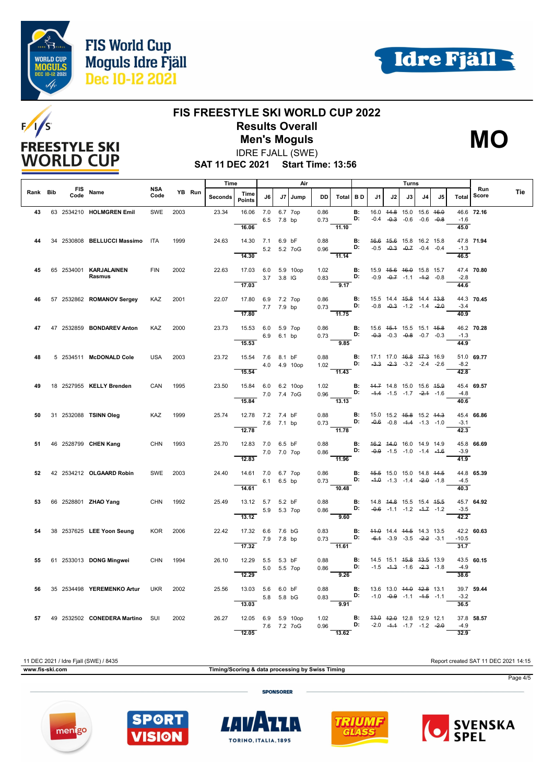





## **FIS FREESTYLE SKI WORLD CUP 2022 Results Overall**

IDRE FJALL (SWE) **Men's Moguls MO**



**SAT 11 DEC 2021 Start Time: 13:56**

|          |      |                                    |             |      |        | Time    |                                                       |              | Air            |              |                                                                                                                                |                 | Turns                                                       |    |                                                                           |    |    |                             |                     |     |
|----------|------|------------------------------------|-------------|------|--------|---------|-------------------------------------------------------|--------------|----------------|--------------|--------------------------------------------------------------------------------------------------------------------------------|-----------------|-------------------------------------------------------------|----|---------------------------------------------------------------------------|----|----|-----------------------------|---------------------|-----|
| Rank Bib | Code | FIS Name                           | NSA<br>Code |      | YB Run | Seconds | Time<br><b>Points</b>                                 | J6 I         | J7   Jump      | DD I         | Total BD                                                                                                                       |                 | J1.                                                         | J2 | J3                                                                        | J4 | J5 | Total                       | Run<br><b>Score</b> | Tie |
| 43       |      | 63 2534210 HOLMGREN Emil           | SWE         | 2003 |        | 23.34   | 16.06 7.0<br>16.06                                    | 6.5 7.8 bp   | 6.7 7op        | 0.86<br>0.73 | 11.10                                                                                                                          | <b>B:</b><br>D: |                                                             |    | 16.0 44.8 15.0 15.6 46.0<br>$-0.4$ $-0.3$ $-0.6$ $-0.6$ $-0.8$            |    |    | $-1.6$<br>45.0              | 46.6 72.16          |     |
| 44       |      | 34 2530808 BELLUCCI Massimo ITA    |             | 1999 |        | 24.63   | 14.30 7.1 6.9 bF<br>14.30                             | 5.2 5.2 7 oG |                | 0.88<br>0.96 | <b>D:</b> $-0.5$ $-0.3$ $-0.7$ $-0.4$ $-0.4$<br>$\frac{1}{11.14}$                                                              |                 | <b>B:</b> 46.6 45.6 15.8 16.2 15.8                          |    |                                                                           |    |    | $-1.3$<br>46.5              | 47.8 71.94          |     |
| 45       |      | 65 2534001 KARJALAINEN<br>Rasmus   | <b>FIN</b>  | 2002 |        | 22.63   | 17.03 6.0 5.9 10op<br>17.03                           | 3.7 3.8 IG   |                |              | 1.02 <b>B</b> : 15.9 45.6 46.0 15.8 15.7<br>0.83 <b>D:</b> -0.9 4.7 1.4 1.6 1.5<br>9.17                                        |                 |                                                             |    |                                                                           |    |    | $-2.8$<br>44.6              | 47.4 70.80          |     |
| 46       |      | 57 2532862 ROMANOV Sergey          | KAZ         | 2001 |        | 22.07   | 17.80 6.9 7.2 7op<br>7.7 7.9 bp<br>17.80              |              |                | 0.86         | 0.30 <b>B.</b> 19.9 14.4 <del>19.6</del> 14.4 <del>13.6</del><br>0.73 <b>D:</b> -0.8 -0.3 -1.2 -1.4 -2.0<br>$\overline{11.75}$ |                 | <b>B:</b> 15.5 14.4 <del>15.8</del> 14.4 <del>13.8</del>    |    |                                                                           |    |    | $-3.4$<br>40.9              | 44.3 70.45          |     |
| 47       |      | 47 2532859 <b>BONDAREV Anton</b>   | KAZ         | 2000 |        | 23.73   | 15.53 6.0 5.9 7op<br>15.53                            | 6.9 6.1 bp   |                | 0.86         | 9.85                                                                                                                           |                 | <b>B:</b> 15.6 4 <del>5.1</del> 15.5 15.1 4 <del>5.8</del>  |    |                                                                           |    |    | $-1.3$<br>$\frac{44.9}{ }$  | 46.2 70.28          |     |
| 48       |      | 5 2534511 McDONALD Cole            | <b>USA</b>  | 2003 |        | 23.72   | 15.54 7.6 8.1 bF<br>15.54                             |              | 4.0  4.9  10op |              | 0.88 <b>B</b> : 17.1 17.0 46.8 47.3 16.9<br>1.02 <b>D:</b> -3.3 -2.3 -3.2 -2.4 -2.6<br>$-11.43$                                |                 |                                                             |    |                                                                           |    |    | $-8.2$<br>42.8              | 51.0 69.77          |     |
| 49       |      | 18 2527955 KELLY Brenden           | CAN         | 1995 |        | 23.50   | 15.84 6.0 6.2 10op<br>7.0 7.4 7oG<br>15.84            |              |                |              | 1.02 <b>B:</b> 44.7 14.8 15.0 15.6 4 <del>5.9</del><br>0.96 <b>D:</b> -4.4 -1.5 -1.7 - <del>2.1</del> -1.6<br>13.13            |                 |                                                             |    |                                                                           |    |    | -4.8<br>40.6                | 45.4 69.57          |     |
| 50       |      | 31 2532088 TSINN Oleg              | KAZ 1999    |      |        | 25.74   | 12.78 7.2 7.4 bF<br>7.6 7.1 bp<br>12.78               |              |                | 0.88         | $0.73$ <b>D:</b><br>$\frac{1}{11.78}$                                                                                          |                 | <b>B:</b> 15.0 15.2 <del>15.8</del> 15.2 <del>14.3</del>    |    | $-0.6$ $-0.8$ $-4.4$ $-1.3$ $-1.0$                                        |    |    | $-3.1$<br>$\overline{42.3}$ | 45.4 66.86          |     |
| 51       |      | 46 2528799 CHEN Kang               | CHN 1993    |      |        | 25.70   | 12.83 7.0 6.5 bF<br>7.0 7.0 7op<br>$\overline{12.83}$ |              |                | 0.88         | $0.86$ D: $-0.9$ -1.5 -1.0 -14.9 14.9<br>$\frac{1}{11.96}$                                                                     |                 | <b>B:</b> 46.2 44.0 16.0 14.9 14.9                          |    |                                                                           |    |    | $-3.9$<br>$\frac{41.9}{ }$  | 45.8 66.69          |     |
|          |      | 52 42 2534212 OLGAARD Robin        | SWE 2003    |      |        | 24.40   | 14.61 7.0 6.7 7op<br>14.61                            | 6.1 6.5 bp   |                |              | 0.86 <b>B:</b> 4 <del>5.5</del> 15.0 15.0 14.8 44.5<br>0.73 <b>D:</b> $-4.0$ $-1.3$ $-1.4$ $-2.0$ $-1.8$<br>10.48              |                 |                                                             |    |                                                                           |    |    | $-4.5$<br>40.3              | 44.8 65.39          |     |
| 53       |      | 66 2528801 <b>ZHAO Yang</b>        | CHN 1992    |      |        | 25.49   | 13.12 5.7 5.2 bF<br>13.12                             | 5.9 5.3 7op  |                | 0.88<br>0.86 | $\mathbf{D}$<br>$\frac{9.60}{9.60}$                                                                                            |                 | <b>B:</b> 14.8 44.8 15.5 15.4 45.5                          |    | $-0.6$ $-1.1$ $-1.2$ $-4.7$ $-1.2$                                        |    |    | $-3.5$<br>42.2              | 45.7 64.92          |     |
| 54       |      | 38 2537625 LEE Yoon Seung          | KOR 2006    |      |        | 22.42   | 17.32 6.6 7.6 bG<br>7.9 7.8 bp<br>17.32               |              |                | 0.83         | 0.73 <b>D:</b> $-6.4$ $-3.9$ $-3.5$ $-2.2$ $-3.1$<br>$-11.61$                                                                  |                 | <b>B:</b> 44.0 14.4 44.5 14.3 13.5                          |    |                                                                           |    |    | $-10.5$<br>31.7             | 42.2 60.63          |     |
| 55       |      | 61 2533013 DONG Mingwei            | <b>CHN</b>  | 1994 |        | 26.10   | 12.29 5.5 5.3 bF<br>12.29                             | 5.0 5.5 7op  |                | 0.88<br>0.86 | $\overline{9.26}$                                                                                                              | <b>B:</b><br>D: |                                                             |    | 14.5 15.1 <del>15.8 13.5</del> 13.9<br>$-1.5$ $-4.3$ $-1.6$ $-2.3$ $-1.8$ |    |    | $-4.9$<br>38.6              | 43.5 60.15          |     |
| 56       |      | 35 2534498 YEREMENKO Artur         | UKR         | 2002 |        | 25.56   | 13.03 5.6 6.0 bF<br>$5.8$ 5.8 bG<br>13.03             |              |                | 0.88<br>0.83 | <b>D:</b> $-1.0$ $-0.9$ $-1.1$ $-4.5$ $-1.1$<br>9.91                                                                           | <b>B:</b>       | 13.6 13.0 <del>14.0 12.8</del> 13.1                         |    |                                                                           |    |    | $-3.2$<br>36.5              | 39.7 59.44          |     |
|          |      | 57 49 2532502 CONEDERA Martino SUI |             | 2002 |        | 26.27   | 12.05 6.9 5.9 10op<br>12.05                           | 7.6 7.2 7oG  |                | 1.02<br>0.96 | D:<br>13.62                                                                                                                    |                 | <b>B:</b> $\frac{43.0}{42.0}$ $\frac{42.0}{42.8}$ 12.9 12.1 |    | $-2.0$ $-4.4$ $-1.7$ $-1.2$ $-2.0$                                        |    |    | $-4.9$<br>32.9              | 37.8 58.57          |     |

11 DEC 2021 / Idre Fjall (SWE) / 8435 Report created SAT 11 DEC 2021 14:15 **www.fis-ski.com Timing/Scoring & data processing by Swiss Timing** Page 4/5 **SPONSORER**